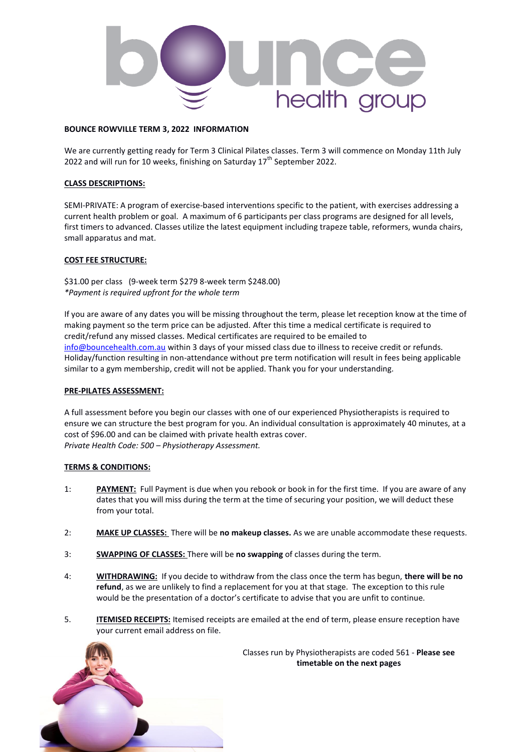

## **BOUNCE ROWVILLE TERM 3, 2022 INFORMATION**

We are currently getting ready for Term 3 Clinical Pilates classes. Term 3 will commence on Monday 11th July 2022 and will run for 10 weeks, finishing on Saturday  $17<sup>th</sup>$  September 2022.

## **CLASS DESCRIPTIONS:**

SEMI-PRIVATE: A program of exercise-based interventions specific to the patient, with exercises addressing a current health problem or goal. A maximum of 6 participants per class programs are designed for all levels, first timers to advanced. Classes utilize the latest equipment including trapeze table, reformers, wunda chairs, small apparatus and mat.

## **COST FEE STRUCTURE:**

\$31.00 per class (9-week term \$279 8-week term \$248.00) *\*Payment is required upfront for the whole term* 

If you are aware of any dates you will be missing throughout the term, please let reception know at the time of making payment so the term price can be adjusted. After this time a medical certificate is required to credit/refund any missed classes. Medical certificates are required to be emailed to [info@bouncehealth.com.au](about:blank) within 3 days of your missed class due to illness to receive credit or refunds. Holiday/function resulting in non-attendance without pre term notification will result in fees being applicable similar to a gym membership, credit will not be applied. Thank you for your understanding.

#### **PRE-PILATES ASSESSMENT:**

A full assessment before you begin our classes with one of our experienced Physiotherapists is required to ensure we can structure the best program for you. An individual consultation is approximately 40 minutes, at a cost of \$96.00 and can be claimed with private health extras cover. *Private Health Code: 500 – Physiotherapy Assessment.* 

## **TERMS & CONDITIONS:**

- 1: **PAYMENT:** Full Payment is due when you rebook or book in for the first time. If you are aware of any dates that you will miss during the term at the time of securing your position, we will deduct these from your total.
- 2: **MAKE UP CLASSES:** There will be **no makeup classes.** As we are unable accommodate these requests.
- 3: **SWAPPING OF CLASSES:** There will be **no swapping** of classes during the term.
- 4: **WITHDRAWING:** If you decide to withdraw from the class once the term has begun, **there will be no refund**, as we are unlikely to find a replacement for you at that stage. The exception to this rule would be the presentation of a doctor's certificate to advise that you are unfit to continue.
- 5. **ITEMISED RECEIPTS:** Itemised receipts are emailed at the end of term, please ensure reception have your current email address on file.



Classes run by Physiotherapists are coded 561 - **Please see timetable on the next pages**